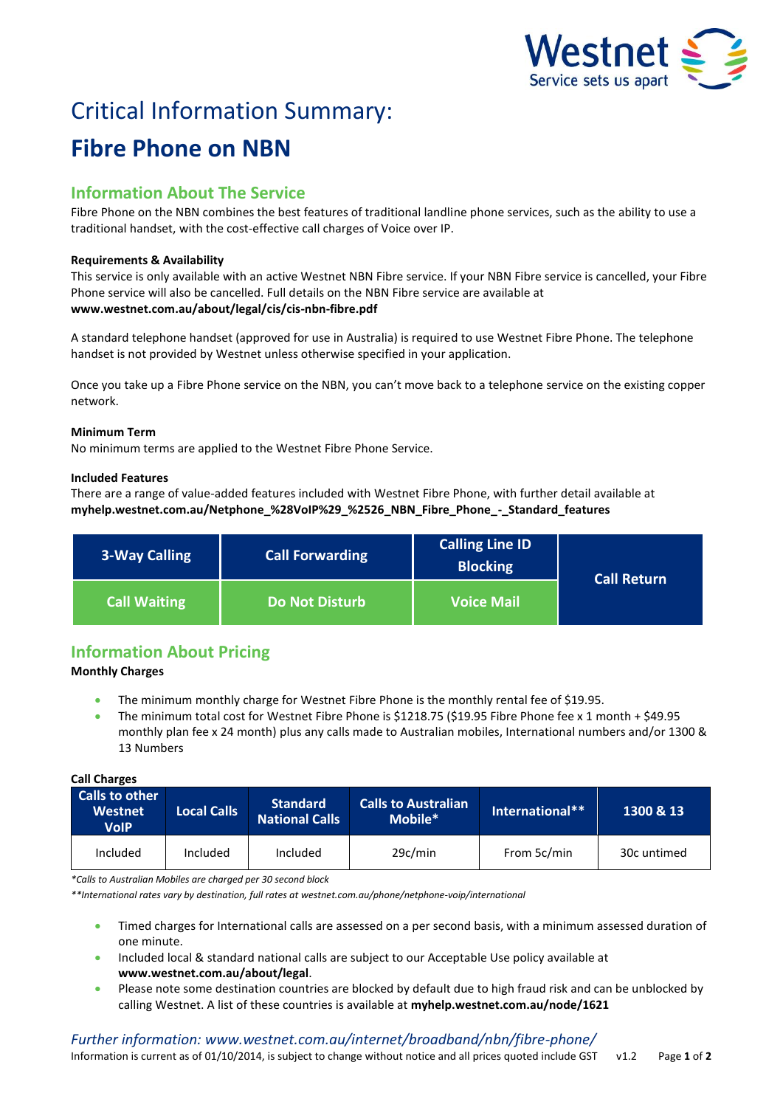

# Critical Information Summary: **Fibre Phone on NBN**

## **Information About The Service**

Fibre Phone on the NBN combines the best features of traditional landline phone services, such as the ability to use a traditional handset, with the cost-effective call charges of Voice over IP.

#### **Requirements & Availability**

This service is only available with an active Westnet NBN Fibre service. If your NBN Fibre service is cancelled, your Fibre Phone service will also be cancelled. Full details on the NBN Fibre service are available at **www.westnet.com.au/about/legal/cis/cis-nbn-fibre.pdf**

A standard telephone handset (approved for use in Australia) is required to use Westnet Fibre Phone. The telephone handset is not provided by Westnet unless otherwise specified in your application.

Once you take up a Fibre Phone service on the NBN, you can't move back to a telephone service on the existing copper network.

#### **Minimum Term**

No minimum terms are applied to the Westnet Fibre Phone Service.

#### **Included Features**

There are a range of value-added features included with Westnet Fibre Phone, with further detail available at **myhelp.westnet.com.au/Netphone\_%28VoIP%29\_%2526\_NBN\_Fibre\_Phone\_-\_Standard\_features**

| 3-Way Calling       | <b>Call Forwarding</b> | <b>Calling Line ID</b><br><b>Blocking</b> | <b>Call Return</b> |
|---------------------|------------------------|-------------------------------------------|--------------------|
| <b>Call Waiting</b> | <b>Do Not Disturb</b>  | <b>Voice Mail</b>                         |                    |

## **Information About Pricing**

#### **Monthly Charges**

- The minimum monthly charge for Westnet Fibre Phone is the monthly rental fee of \$19.95.
- The minimum total cost for Westnet Fibre Phone is \$1218.75 (\$19.95 Fibre Phone fee x 1 month + \$49.95 monthly plan fee x 24 month) plus any calls made to Australian mobiles, International numbers and/or 1300 & 13 Numbers

#### **Call Charges Calls to other Westnet VoIP Local Calls Standard National Calls Calls to Australian Mobile\* International\*\* 1300 & 13** Included | Included | Included | 29c/min | From 5c/min | 30c untimed

*\*Calls to Australian Mobiles are charged per 30 second block*

*\*\*International rates vary by destination, full rates at westnet.com.au/phone/netphone-voip/international*

- Timed charges for International calls are assessed on a per second basis, with a minimum assessed duration of one minute.
- Included local & standard national calls are subject to our Acceptable Use policy available at **www.westnet.com.au/about/legal**.
- Please note some destination countries are blocked by default due to high fraud risk and can be unblocked by calling Westnet. A list of these countries is available at **myhelp.westnet.com.au/node/1621**

#### *Further information: www.westnet.com.au/internet/broadband/nbn/fibre-phone/*

Information is current as of 01/10/2014, is subject to change without notice and all prices quoted include GST v1.2 Page **1** of **2**